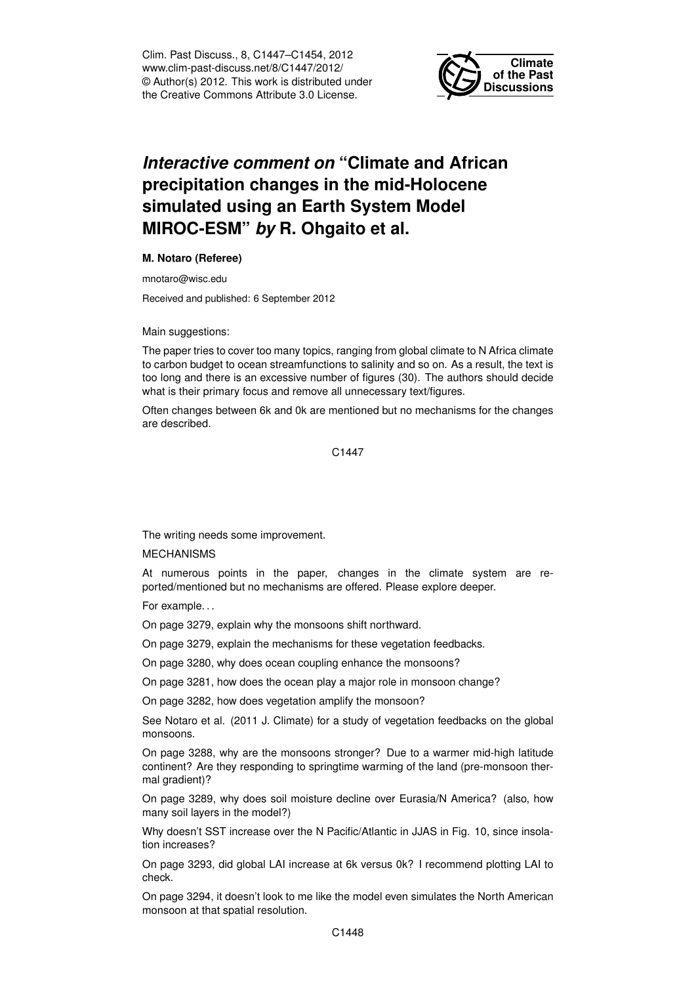Clim. Past Discuss., 8, C1447–C1454, 2012 www.clim-past-discuss.net/8/C1447/2012/ © Author(s) 2012. This work is distributed under the Creative Commons Attribute 3.0 License.



## *Interactive comment on* **"Climate and African precipitation changes in the mid-Holocene simulated using an Earth System Model MIROC-ESM"** *by* **R. Ohgaito et al.**

## **M. Notaro (Referee)**

mnotaro@wisc.edu

Received and published: 6 September 2012

Main suggestions:

The paper tries to cover too many topics, ranging from global climate to N Africa climate to carbon budget to ocean streamfunctions to salinity and so on. As a result, the text is too long and there is an excessive number of figures (30). The authors should decide what is their primary focus and remove all unnecessary text/figures.

Often changes between 6k and 0k are mentioned but no mechanisms for the changes are described.

C1447

The writing needs some improvement.

MECHANISMS

At numerous points in the paper, changes in the climate system are reported/mentioned but no mechanisms are offered. Please explore deeper.

For example. . .

On page 3279, explain why the monsoons shift northward.

On page 3279, explain the mechanisms for these vegetation feedbacks.

On page 3280, why does ocean coupling enhance the monsoons?

On page 3281, how does the ocean play a major role in monsoon change?

On page 3282, how does vegetation amplify the monsoon?

See Notaro et al. (2011 J. Climate) for a study of vegetation feedbacks on the global monsoons.

On page 3288, why are the monsoons stronger? Due to a warmer mid-high latitude continent? Are they responding to springtime warming of the land (pre-monsoon thermal gradient)?

On page 3289, why does soil moisture decline over Eurasia/N America? (also, how many soil layers in the model?)

Why doesn't SST increase over the N Pacific/Atlantic in JJAS in Fig. 10, since insolation increases?

On page 3293, did global LAI increase at 6k versus 0k? I recommend plotting LAI to check.

On page 3294, it doesn't look to me like the model even simulates the North American monsoon at that spatial resolution.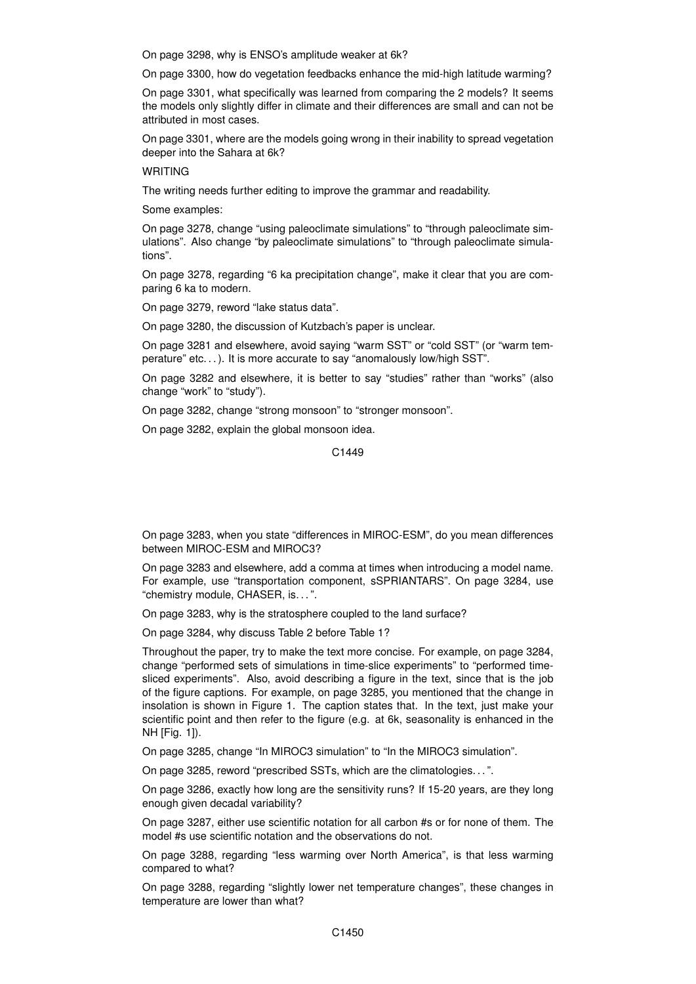On page 3298, why is ENSO's amplitude weaker at 6k?

On page 3300, how do vegetation feedbacks enhance the mid-high latitude warming?

On page 3301, what specifically was learned from comparing the 2 models? It seems the models only slightly differ in climate and their differences are small and can not be attributed in most cases.

On page 3301, where are the models going wrong in their inability to spread vegetation deeper into the Sahara at 6k?

## WRITING

The writing needs further editing to improve the grammar and readability.

Some examples:

On page 3278, change "using paleoclimate simulations" to "through paleoclimate simulations". Also change "by paleoclimate simulations" to "through paleoclimate simulations".

On page 3278, regarding "6 ka precipitation change", make it clear that you are comparing 6 ka to modern.

On page 3279, reword "lake status data".

On page 3280, the discussion of Kutzbach's paper is unclear.

On page 3281 and elsewhere, avoid saying "warm SST" or "cold SST" (or "warm temperature" etc...). It is more accurate to say "anomalously low/high SST".

On page 3282 and elsewhere, it is better to say "studies" rather than "works" (also change "work" to "study").

On page 3282, change "strong monsoon" to "stronger monsoon".

On page 3282, explain the global monsoon idea.

C1449

On page 3283, when you state "differences in MIROC-ESM", do you mean differences between MIROC-ESM and MIROC3?

On page 3283 and elsewhere, add a comma at times when introducing a model name. For example, use "transportation component, sSPRIANTARS". On page 3284, use "chemistry module, CHASER, is. . . ".

On page 3283, why is the stratosphere coupled to the land surface?

On page 3284, why discuss Table 2 before Table 1?

Throughout the paper, try to make the text more concise. For example, on page 3284, change "performed sets of simulations in time-slice experiments" to "performed timesliced experiments". Also, avoid describing a figure in the text, since that is the job of the figure captions. For example, on page 3285, you mentioned that the change in insolation is shown in Figure 1. The caption states that. In the text, just make your scientific point and then refer to the figure (e.g. at 6k, seasonality is enhanced in the NH [Fig. 1]).

On page 3285, change "In MIROC3 simulation" to "In the MIROC3 simulation".

On page 3285, reword "prescribed SSTs, which are the climatologies. . . ".

On page 3286, exactly how long are the sensitivity runs? If 15-20 years, are they long enough given decadal variability?

On page 3287, either use scientific notation for all carbon #s or for none of them. The model #s use scientific notation and the observations do not.

On page 3288, regarding "less warming over North America", is that less warming compared to what?

On page 3288, regarding "slightly lower net temperature changes", these changes in temperature are lower than what?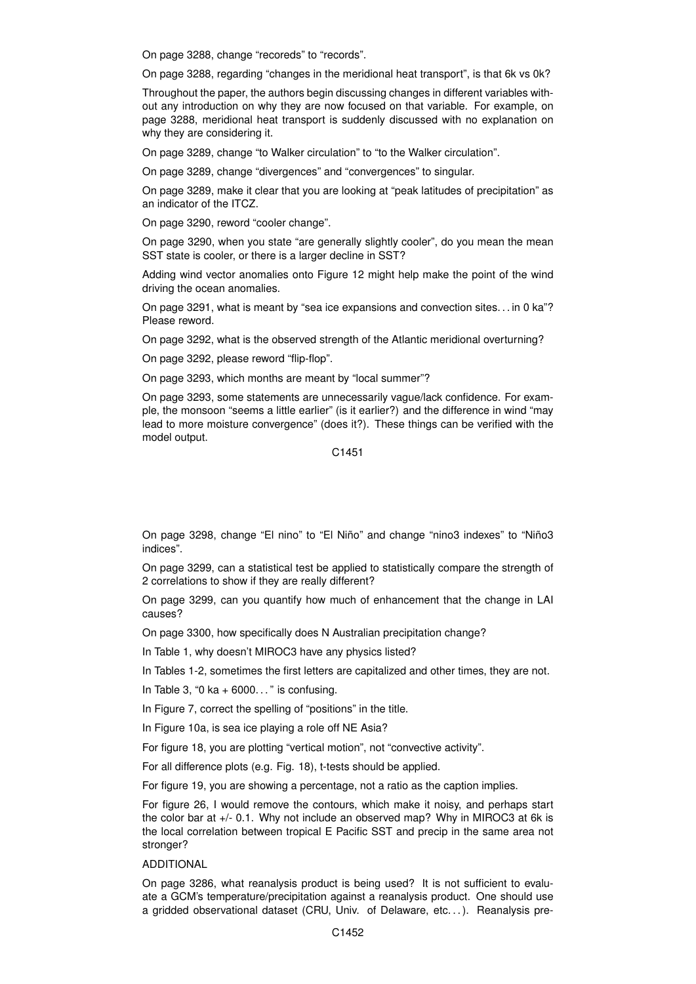On page 3288, change "recoreds" to "records".

On page 3288, regarding "changes in the meridional heat transport", is that 6k vs 0k?

Throughout the paper, the authors begin discussing changes in different variables without any introduction on why they are now focused on that variable. For example, on page 3288, meridional heat transport is suddenly discussed with no explanation on why they are considering it.

On page 3289, change "to Walker circulation" to "to the Walker circulation".

On page 3289, change "divergences" and "convergences" to singular.

On page 3289, make it clear that you are looking at "peak latitudes of precipitation" as an indicator of the ITCZ.

On page 3290, reword "cooler change".

On page 3290, when you state "are generally slightly cooler", do you mean the mean SST state is cooler, or there is a larger decline in SST?

Adding wind vector anomalies onto Figure 12 might help make the point of the wind driving the ocean anomalies.

On page 3291, what is meant by "sea ice expansions and convection sites. . . in 0 ka"? Please reword.

On page 3292, what is the observed strength of the Atlantic meridional overturning?

On page 3292, please reword "flip-flop".

On page 3293, which months are meant by "local summer"?

On page 3293, some statements are unnecessarily vague/lack confidence. For example, the monsoon "seems a little earlier" (is it earlier?) and the difference in wind "may lead to more moisture convergence" (does it?). These things can be verified with the model output.

C1451

On page 3298, change "El nino" to "El Niño" and change "nino3 indexes" to "Niño3 indices".

On page 3299, can a statistical test be applied to statistically compare the strength of 2 correlations to show if they are really different?

On page 3299, can you quantify how much of enhancement that the change in LAI causes?

On page 3300, how specifically does N Australian precipitation change?

In Table 1, why doesn't MIROC3 have any physics listed?

In Tables 1-2, sometimes the first letters are capitalized and other times, they are not.

In Table 3, "0 ka  $+$  6000..." is confusing.

In Figure 7, correct the spelling of "positions" in the title.

In Figure 10a, is sea ice playing a role off NE Asia?

For figure 18, you are plotting "vertical motion", not "convective activity".

For all difference plots (e.g. Fig. 18), t-tests should be applied.

For figure 19, you are showing a percentage, not a ratio as the caption implies.

For figure 26, I would remove the contours, which make it noisy, and perhaps start the color bar at +/- 0.1. Why not include an observed map? Why in MIROC3 at 6k is the local correlation between tropical E Pacific SST and precip in the same area not stronger?

## ADDITIONAL

On page 3286, what reanalysis product is being used? It is not sufficient to evaluate a GCM's temperature/precipitation against a reanalysis product. One should use a gridded observational dataset (CRU, Univ. of Delaware, etc. . . ). Reanalysis pre